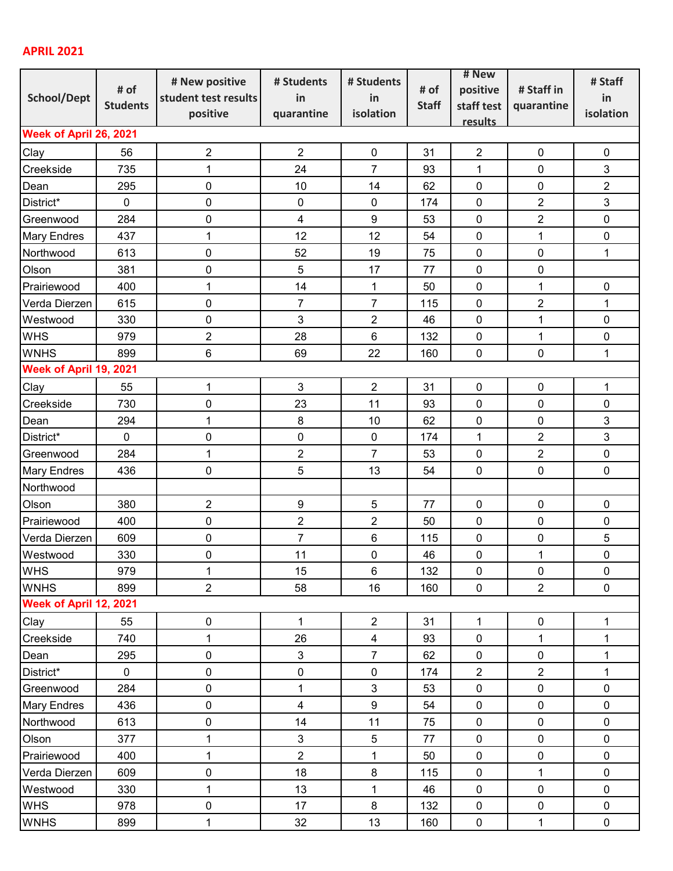## **APRIL 2021**

|                                   |                 | # New positive          | # Students       | # Students       |              | # New          |                | # Staff        |  |  |  |
|-----------------------------------|-----------------|-------------------------|------------------|------------------|--------------|----------------|----------------|----------------|--|--|--|
| <b>School/Dept</b>                | # of            | student test results    | in               | in               | # of         | positive       | # Staff in     | in             |  |  |  |
|                                   | <b>Students</b> | positive                | quarantine       | isolation        | <b>Staff</b> | staff test     | quarantine     | isolation      |  |  |  |
| results<br>Week of April 26, 2021 |                 |                         |                  |                  |              |                |                |                |  |  |  |
|                                   |                 |                         |                  |                  |              |                |                |                |  |  |  |
| Clay                              | 56              | $\mathbf 2$             | $\overline{2}$   | $\pmb{0}$        | 31           | $\overline{2}$ | $\mathbf 0$    | $\pmb{0}$      |  |  |  |
| Creekside                         | 735             | 1                       | 24               | $\overline{7}$   | 93           | 1              | $\mathbf 0$    | 3              |  |  |  |
| Dean                              | 295             | $\pmb{0}$               | 10               | 14               | 62           | $\mathbf 0$    | $\pmb{0}$      | $\overline{2}$ |  |  |  |
| District*                         | $\mathbf 0$     | 0                       | $\pmb{0}$        | $\mathbf 0$      | 174          | 0              | $\overline{2}$ | $\mathfrak{B}$ |  |  |  |
| Greenwood                         | 284             | 0                       | $\overline{4}$   | $\boldsymbol{9}$ | 53           | $\mathbf 0$    | $\overline{2}$ | $\pmb{0}$      |  |  |  |
| <b>Mary Endres</b>                | 437             | 1                       | 12               | 12               | 54           | 0              | $\mathbf{1}$   | $\pmb{0}$      |  |  |  |
| Northwood                         | 613             | 0                       | 52               | 19               | 75           | $\mathbf 0$    | $\mathbf 0$    | $\mathbf 1$    |  |  |  |
| Olson                             | 381             | 0                       | 5                | 17               | 77           | 0              | $\pmb{0}$      |                |  |  |  |
| Prairiewood                       | 400             | 1                       | 14               | 1                | 50           | $\pmb{0}$      | $\mathbf 1$    | $\pmb{0}$      |  |  |  |
| Verda Dierzen                     | 615             | 0                       | $\overline{7}$   | $\overline{7}$   | 115          | $\mathbf 0$    | $\overline{2}$ | $\mathbf 1$    |  |  |  |
| Westwood                          | 330             | $\pmb{0}$               | 3                | $\sqrt{2}$       | 46           | 0              | $\mathbf 1$    | $\pmb{0}$      |  |  |  |
| <b>WHS</b>                        | 979             | $\overline{2}$          | 28               | $\,6$            | 132          | 0              | $\mathbf 1$    | $\pmb{0}$      |  |  |  |
| <b>WNHS</b>                       | 899             | $6\phantom{1}$          | 69               | 22               | 160          | $\pmb{0}$      | $\mathbf 0$    | $\mathbf{1}$   |  |  |  |
| Week of April 19, 2021            |                 |                         |                  |                  |              |                |                |                |  |  |  |
| Clay                              | 55              | $\mathbf 1$             | $\mathfrak{B}$   | $\overline{2}$   | 31           | $\pmb{0}$      | 0              | $\mathbf 1$    |  |  |  |
| Creekside                         | 730             | 0                       | 23               | 11               | 93           | $\mathbf 0$    | 0              | $\pmb{0}$      |  |  |  |
| Dean                              | 294             | 1                       | 8                | 10               | 62           | 0              | 0              | 3              |  |  |  |
| District*                         | $\mathbf 0$     | 0                       | 0                | $\mathbf 0$      | 174          | $\mathbf{1}$   | $\overline{2}$ | 3              |  |  |  |
| Greenwood                         | 284             | $\mathbf{1}$            | $\overline{2}$   | $\overline{7}$   | 53           | $\pmb{0}$      | $\overline{2}$ | $\pmb{0}$      |  |  |  |
| <b>Mary Endres</b>                | 436             | 0                       | 5                | 13               | 54           | 0              | 0              | $\mathbf 0$    |  |  |  |
| Northwood                         |                 |                         |                  |                  |              |                |                |                |  |  |  |
| Olson                             | 380             | $\overline{\mathbf{c}}$ | $\boldsymbol{9}$ | $\sqrt{5}$       | 77           | $\pmb{0}$      | $\pmb{0}$      | $\mathbf 0$    |  |  |  |
| Prairiewood                       | 400             | 0                       | $\overline{2}$   | $\overline{2}$   | 50           | $\pmb{0}$      | $\pmb{0}$      | $\mathbf 0$    |  |  |  |
| Verda Dierzen                     | 609             | $\pmb{0}$               | $\overline{7}$   | $\,6\,$          | 115          | $\pmb{0}$      | $\pmb{0}$      | 5              |  |  |  |
| Westwood                          | 330             | $\pmb{0}$               | 11               | $\pmb{0}$        | 46           | $\pmb{0}$      | $\mathbf 1$    | $\pmb{0}$      |  |  |  |
| <b>WHS</b>                        | 979             | 1                       | 15               | 6                | 132          | 0              | 0              | $\pmb{0}$      |  |  |  |
| <b>WNHS</b>                       | 899             | $\overline{2}$          | 58               | 16               | 160          | $\pmb{0}$      | $\overline{2}$ | $\pmb{0}$      |  |  |  |
| Week of April 12, 2021            |                 |                         |                  |                  |              |                |                |                |  |  |  |
| Clay                              | 55              | 0                       | $\mathbf 1$      | $\overline{2}$   | 31           | $\mathbf{1}$   | $\pmb{0}$      | $\mathbf 1$    |  |  |  |
| Creekside                         | 740             | 1                       | 26               | 4                | 93           | 0              | 1              | 1              |  |  |  |
| Dean                              | 295             | 0                       | $\mathbf{3}$     | $\overline{7}$   | 62           | $\pmb{0}$      | $\pmb{0}$      | 1              |  |  |  |
| District*                         | $\mathbf 0$     | $\mathsf 0$             | $\pmb{0}$        | $\pmb{0}$        | 174          | $\overline{2}$ | $\overline{2}$ | $\mathbf 1$    |  |  |  |
| Greenwood                         | 284             | 0                       | $\mathbf{1}$     | 3                | 53           | $\pmb{0}$      | 0              | $\pmb{0}$      |  |  |  |
| <b>Mary Endres</b>                | 436             | 0                       | $\overline{4}$   | $\boldsymbol{9}$ | 54           | $\pmb{0}$      | $\pmb{0}$      | $\pmb{0}$      |  |  |  |
| Northwood                         | 613             | $\pmb{0}$               | 14               | 11               | 75           | $\pmb{0}$      | $\pmb{0}$      | $\pmb{0}$      |  |  |  |
| Olson                             | 377             | 1                       | $\mathbf{3}$     | 5                | 77           | $\pmb{0}$      | $\pmb{0}$      | $\pmb{0}$      |  |  |  |
| Prairiewood                       | 400             | 1                       | $\overline{2}$   | $\mathbf 1$      | 50           | $\pmb{0}$      | 0              | $\pmb{0}$      |  |  |  |
| Verda Dierzen                     | 609             | 0                       | 18               | $\bf 8$          | 115          | $\pmb{0}$      | $\mathbf 1$    | $\pmb{0}$      |  |  |  |
| Westwood                          | 330             | 1                       | 13               | $\mathbf 1$      | 46           | $\pmb{0}$      | $\pmb{0}$      | $\pmb{0}$      |  |  |  |
| <b>WHS</b>                        | 978             | 0                       | 17               | $\bf 8$          | 132          | $\pmb{0}$      | $\pmb{0}$      | $\pmb{0}$      |  |  |  |
| <b>WNHS</b>                       | 899             | 1                       | 32               | 13               | 160          | $\pmb{0}$      | 1              | $\pmb{0}$      |  |  |  |